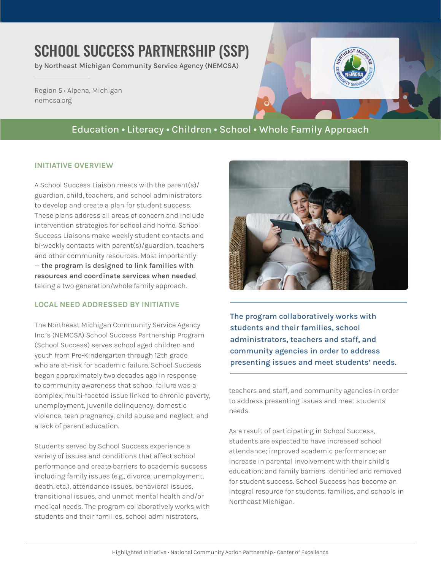# SCHOOL SUCCESS PARTNERSHIP (SSP)

by Northeast Michigan Community Service Agency (NEMCSA)

Region 5 • Alpena, Michigan [nemcsa.org](https://www.nemcsa.org/)

## Education • Literacy • Children • School • Whole Family Approach

#### **INITIATIVE OVERVIEW**

A School Success Liaison meets with the parent(s)/ guardian, child, teachers, and school administrators to develop and create a plan for student success. These plans address all areas of concern and include intervention strategies for school and home. School Success Liaisons make weekly student contacts and bi-weekly contacts with parent(s)/guardian, teachers and other community resources. Most importantly — **the program is designed to link families with resources and coordinate services when needed**, taking a two generation/whole family approach.

#### **LOCAL NEED ADDRESSED BY INITIATIVE**

The Northeast Michigan Community Service Agency Inc.'s (NEMCSA) School Success Partnership Program (School Success) serves school aged children and youth from Pre-Kindergarten through 12th grade who are at-risk for academic failure. School Success began approximately two decades ago in response to community awareness that school failure was a complex, multi-faceted issue linked to chronic poverty, unemployment, juvenile delinquency, domestic violence, teen pregnancy, child abuse and neglect, and a lack of parent education.

Students served by School Success experience a variety of issues and conditions that affect school performance and create barriers to academic success including family issues (e.g., divorce, unemployment, death, etc.), attendance issues, behavioral issues, transitional issues, and unmet mental health and/or medical needs. The program collaboratively works with students and their families, school administrators,



**The program collaboratively works with students and their families, school administrators, teachers and staff, and community agencies in order to address presenting issues and meet students' needs.**

teachers and staff, and community agencies in order to address presenting issues and meet students' needs.

As a result of participating in School Success, students are expected to have increased school attendance; improved academic performance; an increase in parental involvement with their child's education; and family barriers identified and removed for student success. School Success has become an integral resource for students, families, and schools in Northeast Michigan.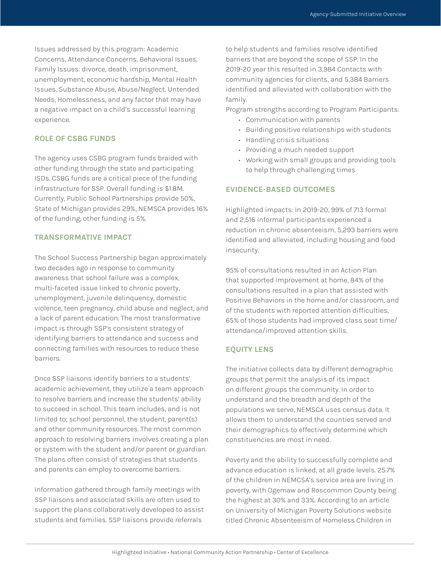Issues addressed by this program: Academic Concerns, Attendance Concerns, Behavioral Issues, Family Issues: divorce, death, imprisonment, unemployment, economic hardship, Mental Health Issues, Substance Abuse, Abuse/Neglect, Untended Needs, Homelessness, and any factor that may have a negative impact on a child's successful learning experience.

#### **ROLE OF CSBG FUNDS**

The agency uses CSBG program funds braided with other funding through the state and participating ISDs. CSBG funds are a critical piece of the funding infrastructure for SSP. Overall funding is \$1.8M. Currently, Public School Partnerships provide 50%, State of Michigan provides 29%, NEMSCA provides 16% of the funding, other funding is 5%.

#### **TRANSFORMATIVE IMPACT**

The School Success Partnership began approximately two decades ago in response to community awareness that school failure was a complex, multi-faceted issue linked to chronic poverty, unemployment, juvenile delinquency, domestic violence, teen pregnancy, child abuse and neglect, and a lack of parent education. The most transformative impact is through SSP's consistent strategy of identifying barriers to attendance and success and connecting families with resources to reduce these barriers.

Once SSP liaisons identify barriers to a students' academic achievement, they utilize a team approach to resolve barriers and increase the students' ability to succeed in school. This team includes, and is not limited to; school personnel, the student, parent(s) and other community resources. The most common approach to resolving barriers involves creating a plan or system with the student and/or parent or guardian. The plans often consist of strategies that students and parents can employ to overcome barriers.

Information gathered through family meetings with SSP liaisons and associated skills are often used to support the plans collaboratively developed to assist students and families. SSP liaisons provide referrals

to help students and families resolve identified barriers that are beyond the scope of SSP. In the 2019-20 year this resulted in 3,984 Contacts with community agencies for clients, and 5,384 Barriers identified and alleviated with collaboration with the family.

Program strengths according to Program Participants:

- Communication with parents
- Building positive relationships with students
- Handling crisis situations
- Providing a much needed support
- Working with small groups and providing tools to help through challenging times

#### **EVIDENCE-BASED OUTCOMES**

Highlighted impacts: In 2019-20, 99% of 713 formal and 2,516 informal participants experienced a reduction in chronic absenteeism, 5,293 barriers were identified and alleviated, including housing and food insecurity.

95% of consultations resulted in an Action Plan that supported improvement at home, 84% of the consultations resulted in a plan that assisted with Positive Behaviors in the home and/or classroom, and of the students with reported attention difficulties, 65% of those students had improved class seat time/ attendance/improved attention skills.

#### **EQUITY LENS**

The initiative collects data by different demographic groups that permit the analysis of its impact on different groups the community. In order to understand and the breadth and depth of the populations we serve, NEMSCA uses census data. It allows them to understand the counties served and their demographics to effectively determine which constituencies are most in need.

Poverty and the ability to successfully complete and advance education is linked, at all grade levels. 25.7% of the children in NEMCSA's service area are living in poverty, with Ogemaw and Roscommon County being the highest at 30% and 33%. According to an article on University of Michigan Poverty Solutions website titled Chronic Absenteeism of Homeless Children in